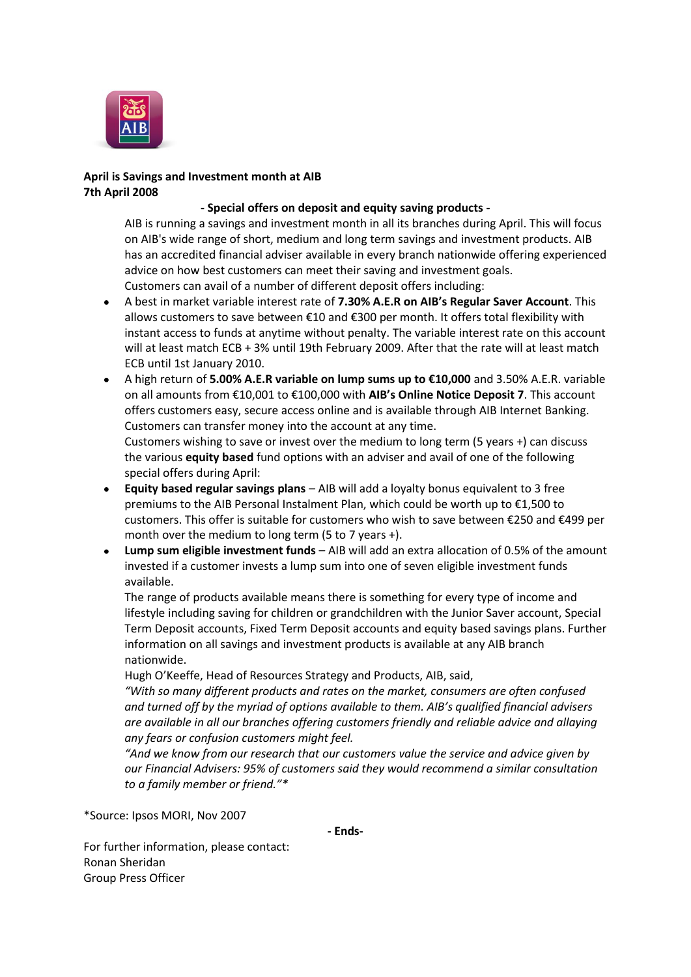

## **April is Savings and Investment month at AIB 7th April 2008**

## **- Special offers on deposit and equity saving products -**

AIB is running a savings and investment month in all its branches during April. This will focus on AIB's wide range of short, medium and long term savings and investment products. AIB has an accredited financial adviser available in every branch nationwide offering experienced advice on how best customers can meet their saving and investment goals. Customers can avail of a number of different deposit offers including:

- A best in market variable interest rate of **7.30% A.E.R on AIB's Regular Saver Account**. This allows customers to save between €10 and €300 per month. It offers total flexibility with instant access to funds at anytime without penalty. The variable interest rate on this account will at least match ECB + 3% until 19th February 2009. After that the rate will at least match ECB until 1st January 2010.
- A high return of **5.00% A.E.R variable on lump sums up to €10,000** and 3.50% A.E.R. variable on all amounts from €10,001 to €100,000 with **AIB's Online Notice Deposit 7**. This account offers customers easy, secure access online and is available through AIB Internet Banking. Customers can transfer money into the account at any time. Customers wishing to save or invest over the medium to long term (5 years +) can discuss the various **equity based** fund options with an adviser and avail of one of the following

special offers during April: **Equity based regular savings plans** – AIB will add a loyalty bonus equivalent to 3 free

- premiums to the AIB Personal Instalment Plan, which could be worth up to €1,500 to customers. This offer is suitable for customers who wish to save between €250 and €499 per month over the medium to long term (5 to 7 years +).
- **Lump sum eligible investment funds** AIB will add an extra allocation of 0.5% of the amount  $\bullet$ invested if a customer invests a lump sum into one of seven eligible investment funds available.

The range of products available means there is something for every type of income and lifestyle including saving for children or grandchildren with the Junior Saver account, Special Term Deposit accounts, Fixed Term Deposit accounts and equity based savings plans. Further information on all savings and investment products is available at any AIB branch nationwide.

Hugh O'Keeffe, Head of Resources Strategy and Products, AIB, said,

*"With so many different products and rates on the market, consumers are often confused and turned off by the myriad of options available to them. AIB's qualified financial advisers are available in all our branches offering customers friendly and reliable advice and allaying any fears or confusion customers might feel.*

*"And we know from our research that our customers value the service and advice given by our Financial Advisers: 95% of customers said they would recommend a similar consultation to a family member or friend."\**

\*Source: Ipsos MORI, Nov 2007

**- Ends-**

For further information, please contact: Ronan Sheridan Group Press Officer